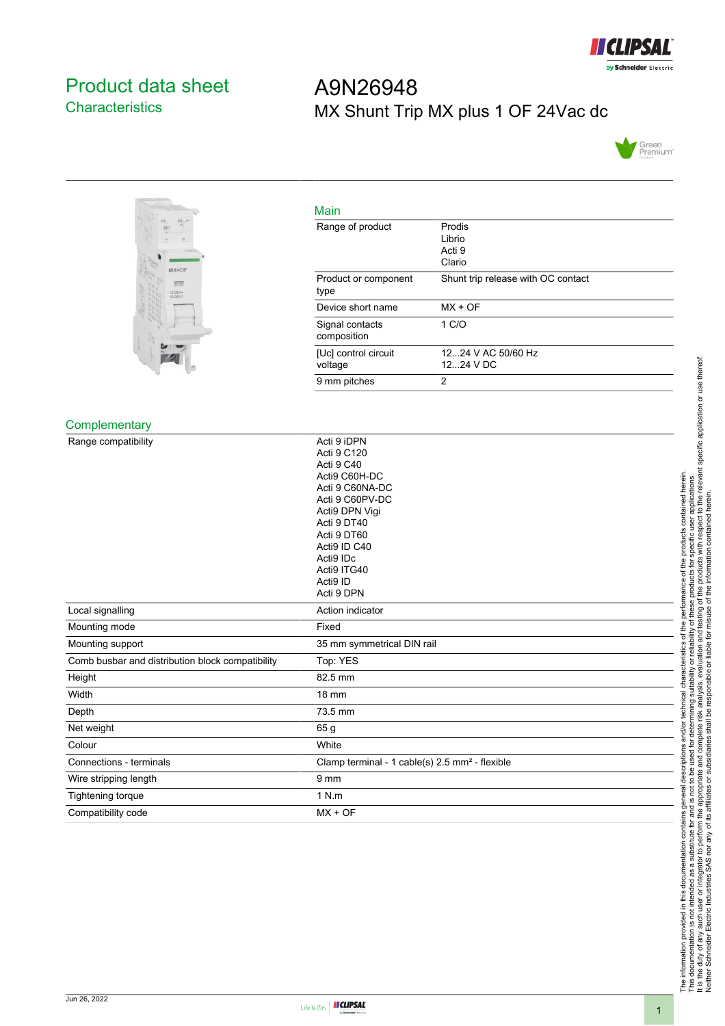

# <span id="page-0-0"></span>Product data sheet **Characteristics**

# A9N26948 MX Shunt Trip MX plus 1 OF 24Vac dc

Librio Acti 9 Clario

1 C/O

12...24 V DC

Shunt trip release with OC contact

12...24 V AC 50/60 Hz





#### Co

|                                                  | 2<br>9 mm pitches                                          |
|--------------------------------------------------|------------------------------------------------------------|
|                                                  |                                                            |
| <b>Complementary</b>                             |                                                            |
|                                                  |                                                            |
| Range compatibility                              | Acti 9 iDPN<br>Acti 9 C120                                 |
|                                                  | Acti 9 C40                                                 |
|                                                  | Acti9 C60H-DC                                              |
|                                                  | Acti 9 C60NA-DC                                            |
|                                                  | Acti 9 C60PV-DC                                            |
|                                                  | Acti9 DPN Vigi                                             |
|                                                  | Acti 9 DT40                                                |
|                                                  | Acti 9 DT60                                                |
|                                                  | Acti9 ID C40<br>Acti9 IDc                                  |
|                                                  | Acti9 ITG40                                                |
|                                                  | Acti9 ID                                                   |
|                                                  | Acti 9 DPN                                                 |
| Local signalling                                 | Action indicator                                           |
| Mounting mode                                    | Fixed                                                      |
| Mounting support                                 | 35 mm symmetrical DIN rail                                 |
| Comb busbar and distribution block compatibility | Top: YES                                                   |
| Height                                           | 82.5 mm                                                    |
| Width                                            | <b>18 mm</b>                                               |
| Depth                                            | 73.5 mm                                                    |
| Net weight                                       | 65 <sub>g</sub>                                            |
| Colour                                           | White                                                      |
| Connections - terminals                          | Clamp terminal - 1 cable(s) 2.5 mm <sup>2</sup> - flexible |
| Wire stripping length                            | 9 <sub>mm</sub>                                            |
| Tightening torque                                | 1 N.m                                                      |
| Compatibility code                               | $MX + OF$                                                  |

Main

type

voltage

Range of product Prodis

Device short name MX + OF

Product or component

Signal contacts composition

[Uc] control circuit